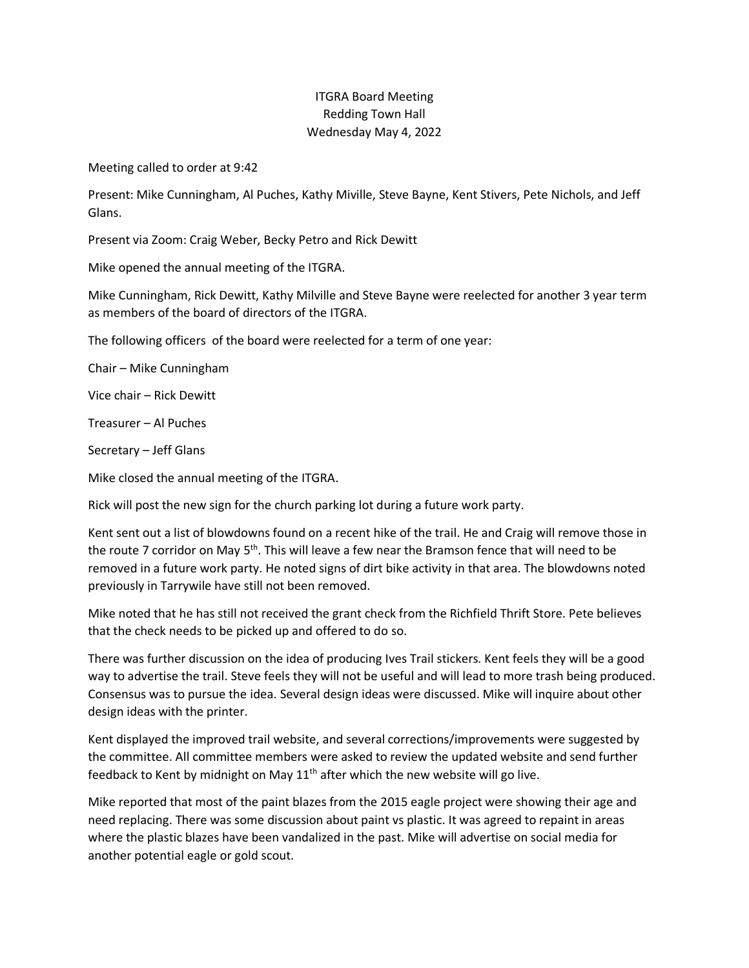## ITGRA Board Meeting Redding Town Hall Wednesday May 4, 2022

Meeting called to order at 9:42

Present: Mike Cunningham, Al Puches, Kathy Miville, Steve Bayne, Kent Stivers, Pete Nichols, and Jeff Glans.

Present via Zoom: Craig Weber, Becky Petro and Rick Dewitt

Mike opened the annual meeting of the ITGRA.

Mike Cunningham, Rick Dewitt, Kathy Milville and Steve Bayne were reelected for another 3 year term as members of the board of directors of the ITGRA.

The following officers of the board were reelected for a term of one year:

Chair – Mike Cunningham

Vice chair – Rick Dewitt

Treasurer – Al Puches

Secretary – Jeff Glans

Mike closed the annual meeting of the ITGRA.

Rick will post the new sign for the church parking lot during a future work party.

Kent sent out a list of blowdowns found on a recent hike of the trail. He and Craig will remove those in the route 7 corridor on May  $5<sup>th</sup>$ . This will leave a few near the Bramson fence that will need to be removed in a future work party. He noted signs of dirt bike activity in that area. The blowdowns noted previously in Tarrywile have still not been removed.

Mike noted that he has still not received the grant check from the Richfield Thrift Store. Pete believes that the check needs to be picked up and offered to do so.

There was further discussion on the idea of producing Ives Trail stickers. Kent feels they will be a good way to advertise the trail. Steve feels they will not be useful and will lead to more trash being produced. Consensus was to pursue the idea. Several design ideas were discussed. Mike will inquire about other design ideas with the printer.

Kent displayed the improved trail website, and several corrections/improvements were suggested by the committee. All committee members were asked to review the updated website and send further feedback to Kent by midnight on May  $11<sup>th</sup>$  after which the new website will go live.

Mike reported that most of the paint blazes from the 2015 eagle project were showing their age and need replacing. There was some discussion about paint vs plastic. It was agreed to repaint in areas where the plastic blazes have been vandalized in the past. Mike will advertise on social media for another potential eagle or gold scout.